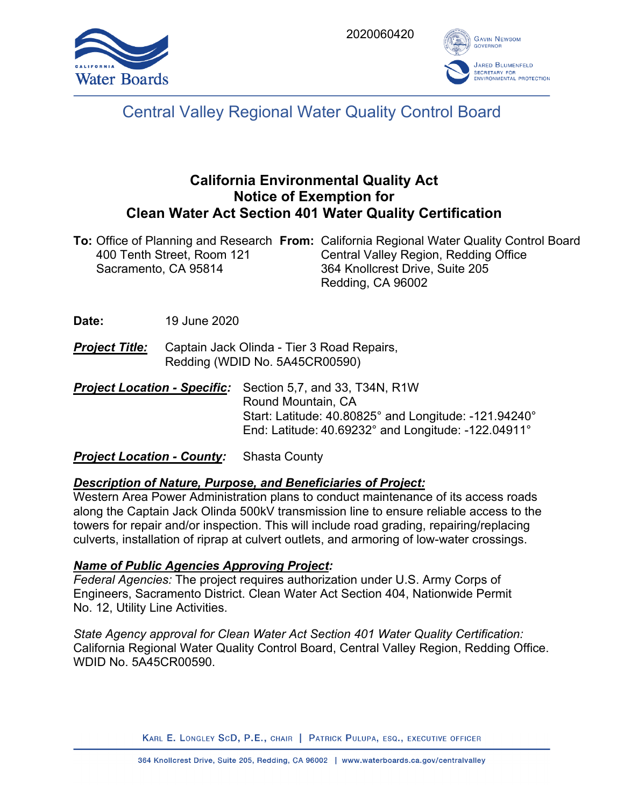



# Central Valley Regional Water Quality Control Board

# **California Environmental Quality Act Notice of Exemption for Clean Water Act Section 401 Water Quality Certification**

|                            | <b>To:</b> Office of Planning and Research From: California Regional Water Quality Control Board |
|----------------------------|--------------------------------------------------------------------------------------------------|
| 400 Tenth Street, Room 121 | Central Valley Region, Redding Office                                                            |
| Sacramento, CA 95814       | 364 Knollcrest Drive, Suite 205                                                                  |
|                            | Redding, CA 96002                                                                                |

**Date:** 19 June 2020

- *Project Title:* Captain Jack Olinda Tier 3 Road Repairs, Redding (WDID No. 5A45CR00590)
- *Project Location Specific:* Section 5,7, and 33, T34N, R1W Round Mountain, CA Start: Latitude: 40.80825° and Longitude: -121.94240° End: Latitude: 40.69232° and Longitude: -122.04911°

*Project Location - County:* Shasta County

# *Description of Nature, Purpose, and Beneficiaries of Project:*

Western Area Power Administration plans to conduct maintenance of its access roads along the Captain Jack Olinda 500kV transmission line to ensure reliable access to the towers for repair and/or inspection. This will include road grading, repairing/replacing culverts, installation of riprap at culvert outlets, and armoring of low-water crossings.

# *Name of Public Agencies Approving Project:*

*Federal Agencies:* The project requires authorization under U.S. Army Corps of Engineers, Sacramento District. Clean Water Act Section 404, Nationwide Permit No. 12, Utility Line Activities.

*State Agency approval for Clean Water Act Section 401 Water Quality Certification:* California Regional Water Quality Control Board, Central Valley Region, Redding Office. WDID No. 5A45CR00590.